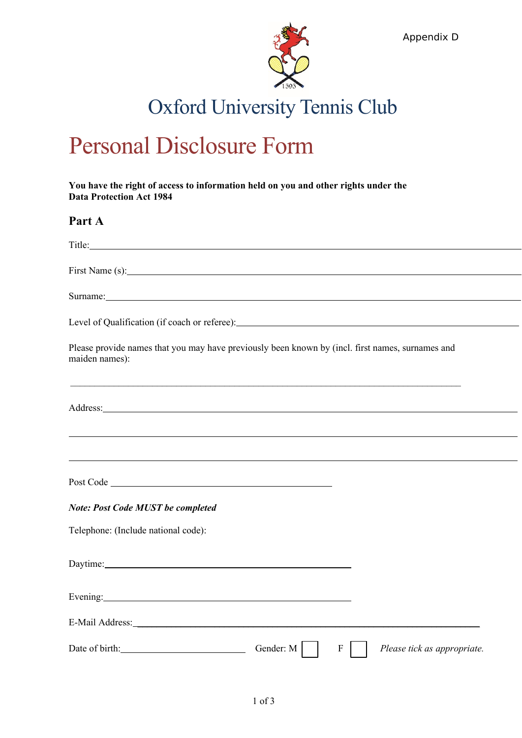

Appendix D

# Oxford University Tennis Club

# Personal Disclosure Form

**You have the right of access to information held on you and other rights under the Data Protection Act 1984**

## **Part A**

| Title:                                                                                                                                                                                                                                                                                                             |
|--------------------------------------------------------------------------------------------------------------------------------------------------------------------------------------------------------------------------------------------------------------------------------------------------------------------|
|                                                                                                                                                                                                                                                                                                                    |
| Surname: experimental contract to the contract of the contract of the contract of the contract of the contract of the contract of the contract of the contract of the contract of the contract of the contract of the contract                                                                                     |
|                                                                                                                                                                                                                                                                                                                    |
| Please provide names that you may have previously been known by (incl. first names, surnames and<br>maiden names):                                                                                                                                                                                                 |
| ,我们也不会有什么。""我们的人,我们也不会有什么?""我们的人,我们也不会有什么?""我们的人,我们也不会有什么?""我们的人,我们也不会有什么?""我们的人<br>Address: Andreas Address: Address: Address: Address: Address: Address: Address: Address: Address: Address: Address: Address: Address: Address: Address: Address: Address: Address: Address: Address: Address: Address: Address |
| ,我们也不会有什么。""我们的人,我们也不会有什么?""我们的人,我们也不会有什么?""我们的人,我们也不会有什么?""我们的人,我们也不会有什么?""我们的人                                                                                                                                                                                                                                   |
|                                                                                                                                                                                                                                                                                                                    |
|                                                                                                                                                                                                                                                                                                                    |
| <b>Note: Post Code MUST be completed</b>                                                                                                                                                                                                                                                                           |
| Telephone: (Include national code):                                                                                                                                                                                                                                                                                |
| Daytime: Daytime:                                                                                                                                                                                                                                                                                                  |
|                                                                                                                                                                                                                                                                                                                    |
|                                                                                                                                                                                                                                                                                                                    |
| Date of birth: Gender: M<br>$\boldsymbol{F}$<br>Please tick as appropriate.                                                                                                                                                                                                                                        |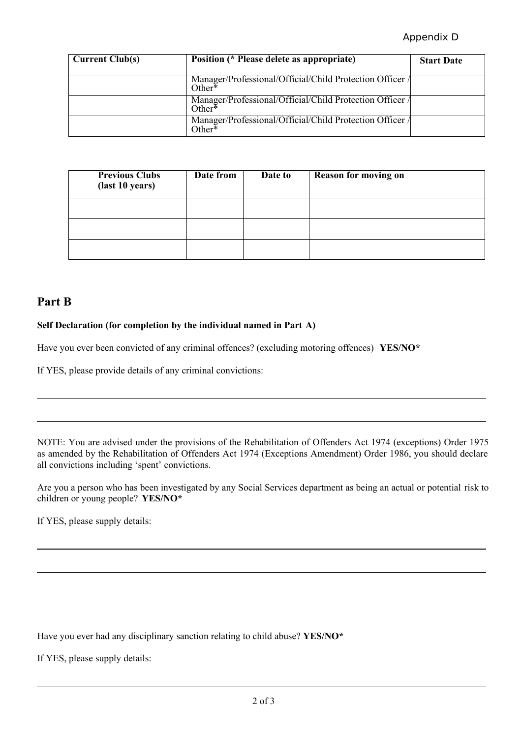## Appendix D

| <b>Current Club(s)</b> | Position (* Please delete as appropriate)                             | <b>Start Date</b> |
|------------------------|-----------------------------------------------------------------------|-------------------|
|                        | Manager/Professional/Official/Child Protection Officer<br>$Other*$    |                   |
|                        | Manager/Professional/Official/Child Protection Officer /<br>Other $*$ |                   |
|                        | Manager/Professional/Official/Child Protection Officer /<br>Other*    |                   |

| <b>Previous Clubs</b><br>(last 10 years) | Date from | Date to | <b>Reason for moving on</b> |
|------------------------------------------|-----------|---------|-----------------------------|
|                                          |           |         |                             |
|                                          |           |         |                             |
|                                          |           |         |                             |

# **Part B**

### **Self Declaration (for completion by the individual named in Part A)**

Have you ever been convicted of any criminal offences? (excluding motoring offences) **YES/NO\***

If YES, please provide details of any criminal convictions:

NOTE: You are advised under the provisions of the Rehabilitation of Offenders Act 1974 (exceptions) Order 1975 as amended by the Rehabilitation of Offenders Act 1974 (Exceptions Amendment) Order 1986, you should declare all convictions including 'spent' convictions.

Are you a person who has been investigated by any Social Services department as being an actual or potential risk to children or young people? **YES/NO\***

If YES, please supply details:

Have you ever had any disciplinary sanction relating to child abuse? **YES/NO\***

If YES, please supply details: